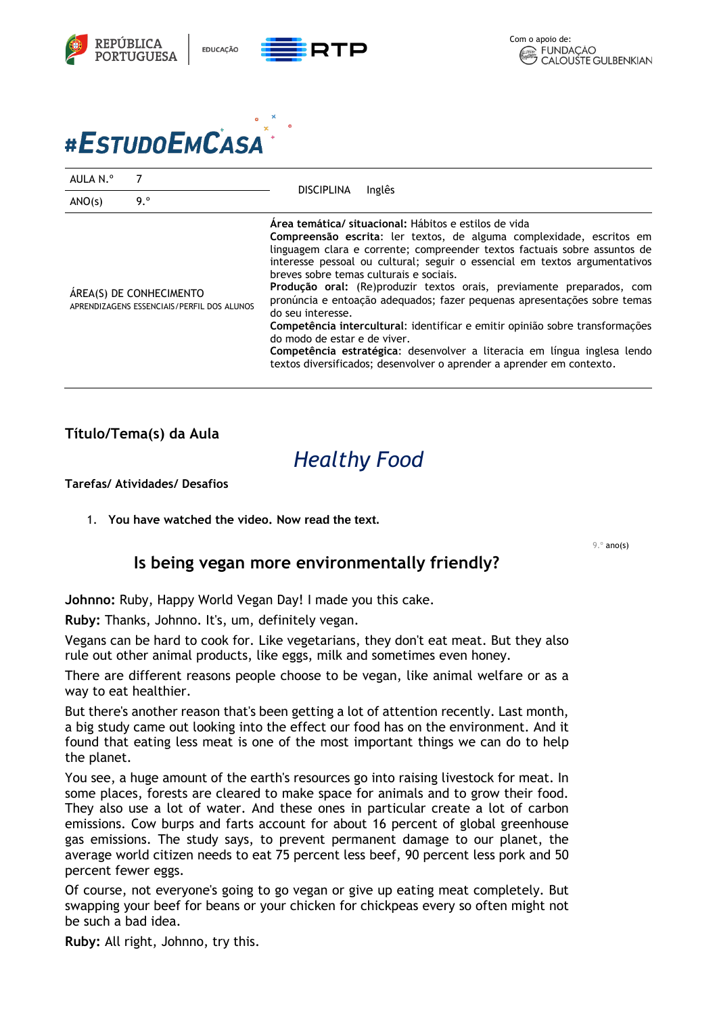

# #ESTUDOEMCASA

| AULA N.º                                                              |     |                                                                                                                                                                                                                                                                                                                                                                                                                                                                                                                                                                                                                                                                                                                                                                                    |
|-----------------------------------------------------------------------|-----|------------------------------------------------------------------------------------------------------------------------------------------------------------------------------------------------------------------------------------------------------------------------------------------------------------------------------------------------------------------------------------------------------------------------------------------------------------------------------------------------------------------------------------------------------------------------------------------------------------------------------------------------------------------------------------------------------------------------------------------------------------------------------------|
| ANO(s)                                                                | 9.° | Inglês<br><b>DISCIPLINA</b>                                                                                                                                                                                                                                                                                                                                                                                                                                                                                                                                                                                                                                                                                                                                                        |
| ÁREA(S) DE CONHECIMENTO<br>APRENDIZAGENS ESSENCIAIS/PERFIL DOS ALUNOS |     | Area temática/ situacional: Hábitos e estilos de vida<br>Compreensão escrita: ler textos, de alguma complexidade, escritos em<br>linguagem clara e corrente; compreender textos factuais sobre assuntos de<br>interesse pessoal ou cultural; seguir o essencial em textos argumentativos<br>breves sobre temas culturais e sociais.<br>Produção oral: (Re)produzir textos orais, previamente preparados, com<br>pronúncia e entoação adequados; fazer pequenas apresentações sobre temas<br>do seu interesse.<br>Competência intercultural: identificar e emitir opinião sobre transformações<br>do modo de estar e de viver.<br>Competência estratégica: desenvolver a literacia em língua inglesa lendo<br>textos diversificados; desenvolver o aprender a aprender em contexto. |

#### **Título/Tema(s) da Aula**

## *Healthy Food*

**Tarefas/ Atividades/ Desafios**

1. **You have watched the video. Now read the text.**

9.º ano(s)

#### **Is being vegan more environmentally friendly?**

**Johnno:** Ruby, Happy World Vegan Day! I made you this cake.

**Ruby:** Thanks, Johnno. It's, um, definitely vegan.

Vegans can be hard to cook for. Like vegetarians, they don't eat meat. But they also rule out other animal products, like eggs, milk and sometimes even honey.

There are different reasons people choose to be vegan, like animal welfare or as a way to eat healthier.

But there's another reason that's been getting a lot of attention recently. Last month, a big study came out looking into the effect our food has on the environment. And it found that eating less meat is one of the most important things we can do to help the planet.

You see, a huge amount of the earth's resources go into raising livestock for meat. In some places, forests are cleared to make space for animals and to grow their food. They also use a lot of water. And these ones in particular create a lot of carbon emissions. Cow burps and farts account for about 16 percent of global greenhouse gas emissions. The study says, to prevent permanent damage to our planet, the average world citizen needs to eat 75 percent less beef, 90 percent less pork and 50 percent fewer eggs.

Of course, not everyone's going to go vegan or give up eating meat completely. But swapping your beef for beans or your chicken for chickpeas every so often might not be such a bad idea.

**Ruby:** All right, Johnno, try this.